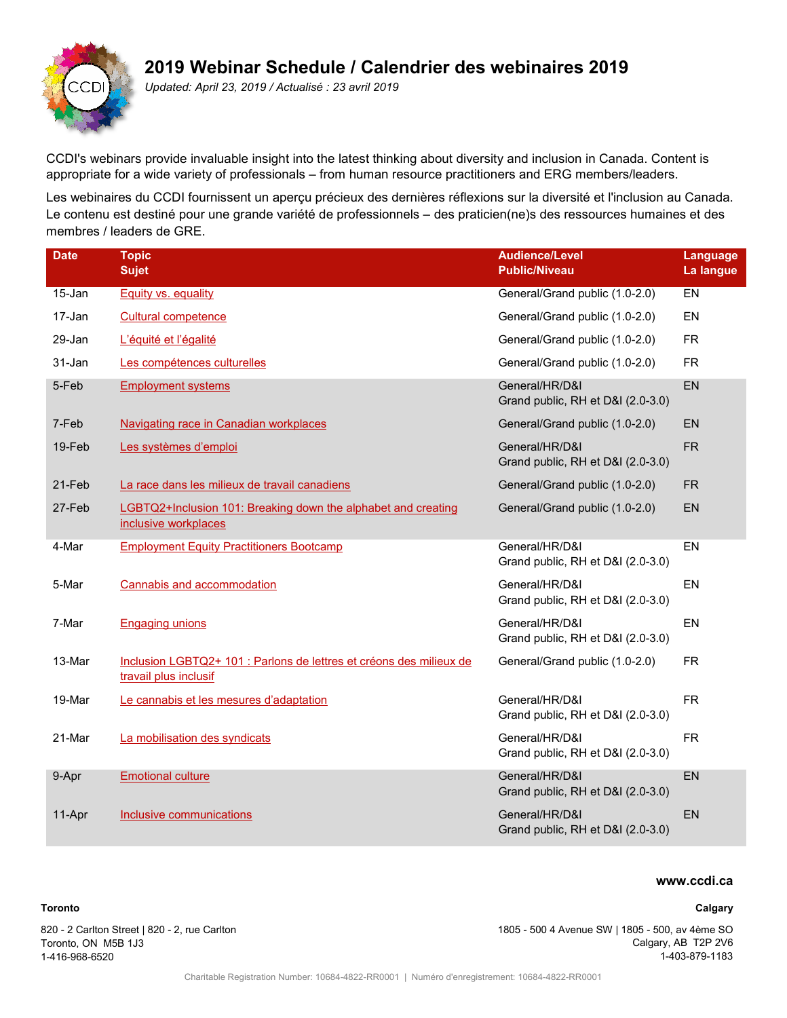# **2019 Webinar Schedule / Calendrier des webinaires 2019**



*Updated: April 23, 2019 / Actualisé : 23 avril 2019*

CCDI's webinars provide invaluable insight into the latest thinking about diversity and inclusion in Canada. Content is appropriate for a wide variety of professionals – from human resource practitioners and ERG members/leaders.

Les webinaires du CCDI fournissent un aperçu précieux des dernières réflexions sur la diversité et l'inclusion au Canada. Le contenu est destiné pour une grande variété de professionnels – des praticien(ne)s des ressources humaines et des membres / leaders de GRE.

| <b>Date</b> | <b>Topic</b>                                                                                 | <b>Audience/Level</b>                               | Language         |
|-------------|----------------------------------------------------------------------------------------------|-----------------------------------------------------|------------------|
|             | <b>Sujet</b>                                                                                 | <b>Public/Niveau</b>                                | La langue        |
| 15-Jan      | Equity vs. equality                                                                          | General/Grand public (1.0-2.0)                      | $E$ <sub>N</sub> |
| 17-Jan      | <b>Cultural competence</b>                                                                   | General/Grand public (1.0-2.0)                      | EN               |
| 29-Jan      | L'équité et l'égalité                                                                        | General/Grand public (1.0-2.0)                      | <b>FR</b>        |
| 31-Jan      | Les compétences culturelles                                                                  | General/Grand public (1.0-2.0)                      | <b>FR</b>        |
| 5-Feb       | <b>Employment systems</b>                                                                    | General/HR/D&I                                      | EN               |
|             |                                                                                              | Grand public, RH et D&I (2.0-3.0)                   |                  |
| 7-Feb       | <b>Navigating race in Canadian workplaces</b>                                                | General/Grand public (1.0-2.0)                      | <b>EN</b>        |
| 19-Feb      | Les systèmes d'emploi                                                                        | General/HR/D&I<br>Grand public, RH et D&I (2.0-3.0) | <b>FR</b>        |
| 21-Feb      | La race dans les milieux de travail canadiens                                                | General/Grand public (1.0-2.0)                      | <b>FR</b>        |
| 27-Feb      | LGBTQ2+Inclusion 101: Breaking down the alphabet and creating<br>inclusive workplaces        | General/Grand public (1.0-2.0)                      | EN               |
| 4-Mar       | <b>Employment Equity Practitioners Bootcamp</b>                                              | General/HR/D&I<br>Grand public, RH et D&I (2.0-3.0) | EN               |
| 5-Mar       | Cannabis and accommodation                                                                   | General/HR/D&I<br>Grand public, RH et D&I (2.0-3.0) | EN               |
| 7-Mar       | <b>Engaging unions</b>                                                                       | General/HR/D&I<br>Grand public, RH et D&I (2.0-3.0) | EN               |
| 13-Mar      | Inclusion LGBTQ2+ 101 : Parlons de lettres et créons des milieux de<br>travail plus inclusif | General/Grand public (1.0-2.0)                      | <b>FR</b>        |
| 19-Mar      | Le cannabis et les mesures d'adaptation                                                      | General/HR/D&I<br>Grand public, RH et D&I (2.0-3.0) | <b>FR</b>        |
| 21-Mar      | La mobilisation des syndicats                                                                | General/HR/D&I<br>Grand public, RH et D&I (2.0-3.0) | <b>FR</b>        |
| 9-Apr       | <b>Emotional culture</b>                                                                     | General/HR/D&I<br>Grand public, RH et D&I (2.0-3.0) | EN               |
| 11-Apr      | Inclusive communications                                                                     | General/HR/D&I<br>Grand public, RH et D&I (2.0-3.0) | <b>EN</b>        |

# **www.ccdi.ca**

#### **Calgary**

820 - 2 Carlton Street | 820 - 2, rue Carlton Toronto, ON M5B 1J3 1-416-968-6520

**Toronto**

1805 - 500 4 Avenue SW | 1805 - 500, av 4ème SO Calgary, AB T2P 2V6 1-403-879-1183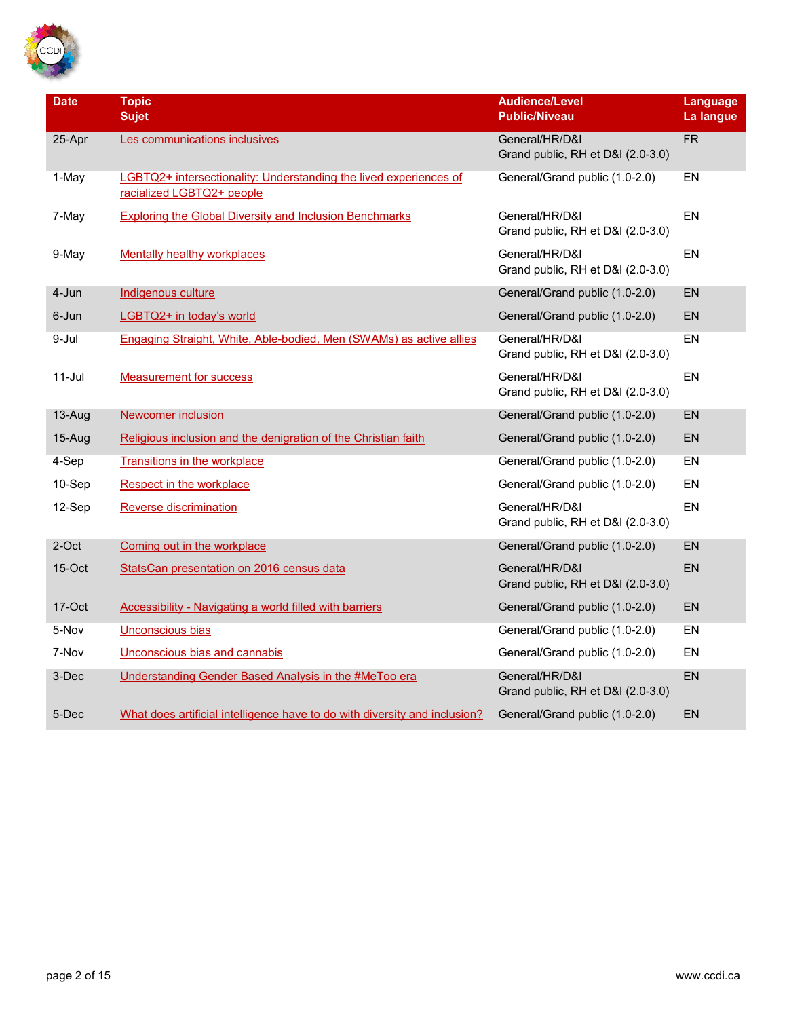

| <b>Date</b> | <b>Topic</b><br><b>Sujet</b>                                                                   | <b>Audience/Level</b><br><b>Public/Niveau</b>       | Language<br>La langue |
|-------------|------------------------------------------------------------------------------------------------|-----------------------------------------------------|-----------------------|
| 25-Apr      | Les communications inclusives                                                                  | General/HR/D&I<br>Grand public, RH et D&I (2.0-3.0) | <b>FR</b>             |
| 1-May       | LGBTQ2+ intersectionality: Understanding the lived experiences of<br>racialized LGBTQ2+ people | General/Grand public (1.0-2.0)                      | EN                    |
| 7-May       | <b>Exploring the Global Diversity and Inclusion Benchmarks</b>                                 | General/HR/D&I<br>Grand public, RH et D&I (2.0-3.0) | EN                    |
| 9-May       | <b>Mentally healthy workplaces</b>                                                             | General/HR/D&I<br>Grand public, RH et D&I (2.0-3.0) | <b>EN</b>             |
| 4-Jun       | Indigenous culture                                                                             | General/Grand public (1.0-2.0)                      | <b>EN</b>             |
| 6-Jun       | LGBTQ2+ in today's world                                                                       | General/Grand public (1.0-2.0)                      | <b>EN</b>             |
| 9-Jul       | Engaging Straight, White, Able-bodied, Men (SWAMs) as active allies                            | General/HR/D&I<br>Grand public, RH et D&I (2.0-3.0) | EN                    |
| $11$ -Jul   | <b>Measurement for success</b>                                                                 | General/HR/D&I<br>Grand public, RH et D&I (2.0-3.0) | EN                    |
| 13-Aug      | <b>Newcomer inclusion</b>                                                                      | General/Grand public (1.0-2.0)                      | <b>EN</b>             |
| 15-Aug      | Religious inclusion and the denigration of the Christian faith                                 | General/Grand public (1.0-2.0)                      | EN                    |
| 4-Sep       | <b>Transitions in the workplace</b>                                                            | General/Grand public (1.0-2.0)                      | EN                    |
| 10-Sep      | Respect in the workplace                                                                       | General/Grand public (1.0-2.0)                      | EN                    |
| 12-Sep      | <b>Reverse discrimination</b>                                                                  | General/HR/D&I<br>Grand public, RH et D&I (2.0-3.0) | EN                    |
| 2-Oct       | Coming out in the workplace                                                                    | General/Grand public (1.0-2.0)                      | <b>EN</b>             |
| $15$ -Oct   | StatsCan presentation on 2016 census data                                                      | General/HR/D&I<br>Grand public, RH et D&I (2.0-3.0) | EN                    |
| 17-Oct      | <b>Accessibility - Navigating a world filled with barriers</b>                                 | General/Grand public (1.0-2.0)                      | EN                    |
| 5-Nov       | Unconscious bias                                                                               | General/Grand public (1.0-2.0)                      | EN                    |
| 7-Nov       | Unconscious bias and cannabis                                                                  | General/Grand public (1.0-2.0)                      | EN                    |
| 3-Dec       | Understanding Gender Based Analysis in the #MeToo era                                          | General/HR/D&I<br>Grand public, RH et D&I (2.0-3.0) | EN                    |
| 5-Dec       | What does artificial intelligence have to do with diversity and inclusion?                     | General/Grand public (1.0-2.0)                      | EN                    |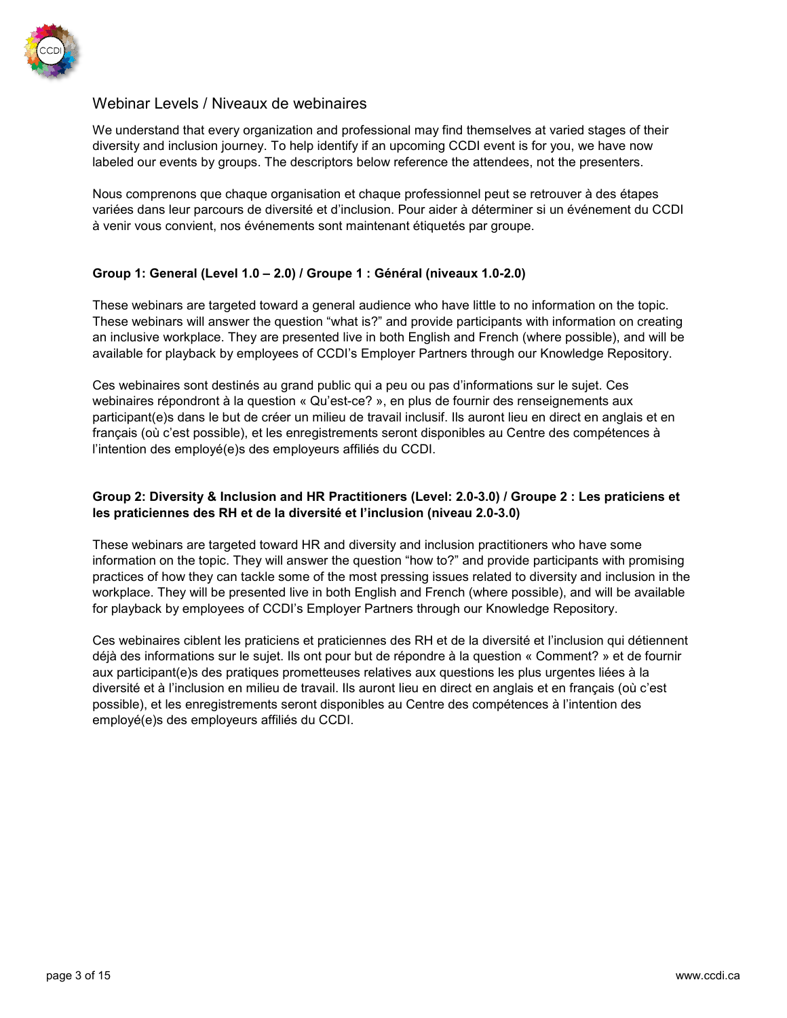

# Webinar Levels / Niveaux de webinaires

We understand that every organization and professional may find themselves at varied stages of their diversity and inclusion journey. To help identify if an upcoming CCDI event is for you, we have now labeled our events by groups. The descriptors below reference the attendees, not the presenters.

Nous comprenons que chaque organisation et chaque professionnel peut se retrouver à des étapes variées dans leur parcours de diversité et d'inclusion. Pour aider à déterminer si un événement du CCDI à venir vous convient, nos événements sont maintenant étiquetés par groupe.

# **Group 1: General (Level 1.0 – 2.0) / Groupe 1 : Général (niveaux 1.0-2.0)**

These webinars are targeted toward a general audience who have little to no information on the topic. These webinars will answer the question "what is?" and provide participants with information on creating an inclusive workplace. They are presented live in both English and French (where possible), and will be available for playback by employees of CCDI's Employer Partners through our Knowledge Repository.

Ces webinaires sont destinés au grand public qui a peu ou pas d'informations sur le sujet. Ces webinaires répondront à la question « Qu'est-ce? », en plus de fournir des renseignements aux participant(e)s dans le but de créer un milieu de travail inclusif. Ils auront lieu en direct en anglais et en français (où c'est possible), et les enregistrements seront disponibles au Centre des compétences à l'intention des employé(e)s des employeurs affiliés du CCDI.

# **Group 2: Diversity & Inclusion and HR Practitioners (Level: 2.0-3.0) / Groupe 2 : Les praticiens et les praticiennes des RH et de la diversité et l'inclusion (niveau 2.0-3.0)**

These webinars are targeted toward HR and diversity and inclusion practitioners who have some information on the topic. They will answer the question "how to?" and provide participants with promising practices of how they can tackle some of the most pressing issues related to diversity and inclusion in the workplace. They will be presented live in both English and French (where possible), and will be available for playback by employees of CCDI's Employer Partners through our Knowledge Repository.

Ces webinaires ciblent les praticiens et praticiennes des RH et de la diversité et l'inclusion qui détiennent déjà des informations sur le sujet. Ils ont pour but de répondre à la question « Comment? » et de fournir aux participant(e)s des pratiques prometteuses relatives aux questions les plus urgentes liées à la diversité et à l'inclusion en milieu de travail. Ils auront lieu en direct en anglais et en français (où c'est possible), et les enregistrements seront disponibles au Centre des compétences à l'intention des employé(e)s des employeurs affiliés du CCDI.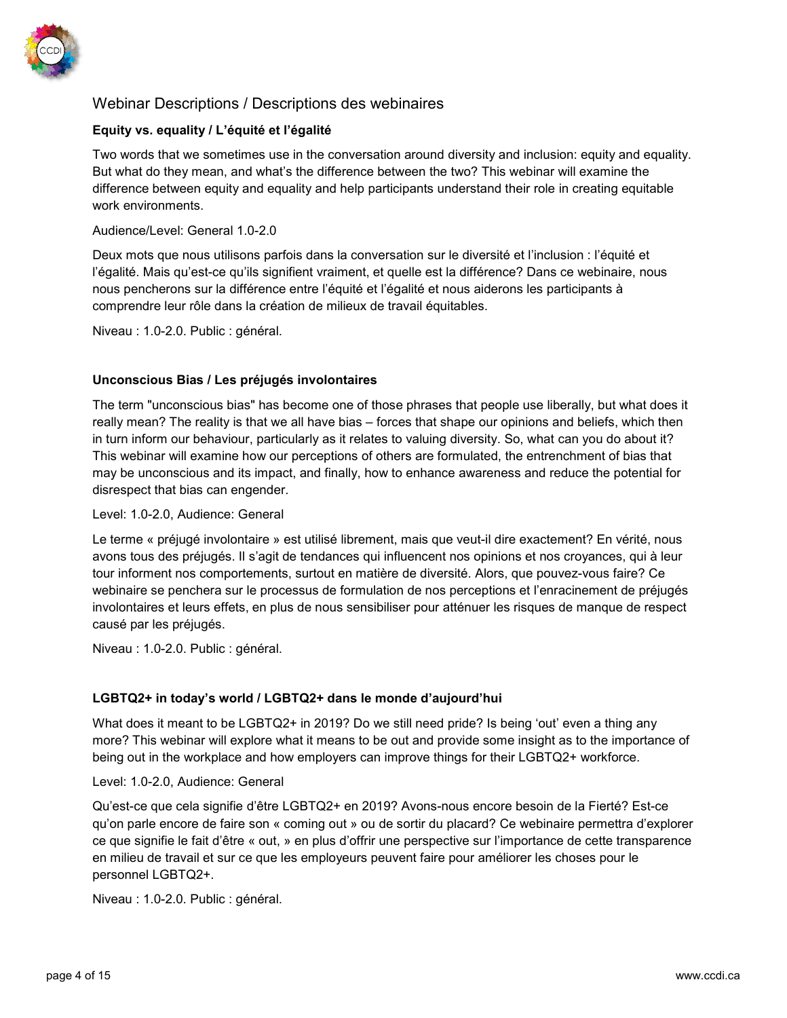

# Webinar Descriptions / Descriptions des webinaires

# **Equity vs. equality / L'équité et l'égalité**

Two words that we sometimes use in the conversation around diversity and inclusion: equity and equality. But what do they mean, and what's the difference between the two? This webinar will examine the difference between equity and equality and help participants understand their role in creating equitable work environments.

### Audience/Level: General 1.0-2.0

Deux mots que nous utilisons parfois dans la conversation sur le diversité et l'inclusion : l'équité et l'égalité. Mais qu'est-ce qu'ils signifient vraiment, et quelle est la différence? Dans ce webinaire, nous nous pencherons sur la différence entre l'équité et l'égalité et nous aiderons les participants à comprendre leur rôle dans la création de milieux de travail équitables.

Niveau : 1.0-2.0. Public : général.

# **Unconscious Bias / Les préjugés involontaires**

The term "unconscious bias" has become one of those phrases that people use liberally, but what does it really mean? The reality is that we all have bias – forces that shape our opinions and beliefs, which then in turn inform our behaviour, particularly as it relates to valuing diversity. So, what can you do about it? This webinar will examine how our perceptions of others are formulated, the entrenchment of bias that may be unconscious and its impact, and finally, how to enhance awareness and reduce the potential for disrespect that bias can engender.

#### Level: 1.0-2.0, Audience: General

Le terme « préjugé involontaire » est utilisé librement, mais que veut-il dire exactement? En vérité, nous avons tous des préjugés. Il s'agit de tendances qui influencent nos opinions et nos croyances, qui à leur tour informent nos comportements, surtout en matière de diversité. Alors, que pouvez-vous faire? Ce webinaire se penchera sur le processus de formulation de nos perceptions et l'enracinement de préjugés involontaires et leurs effets, en plus de nous sensibiliser pour atténuer les risques de manque de respect causé par les préjugés.

Niveau : 1.0-2.0. Public : général.

### **LGBTQ2+ in today's world / LGBTQ2+ dans le monde d'aujourd'hui**

What does it meant to be LGBTQ2+ in 2019? Do we still need pride? Is being 'out' even a thing any more? This webinar will explore what it means to be out and provide some insight as to the importance of being out in the workplace and how employers can improve things for their LGBTQ2+ workforce.

### Level: 1.0-2.0, Audience: General

Qu'est-ce que cela signifie d'être LGBTQ2+ en 2019? Avons-nous encore besoin de la Fierté? Est-ce qu'on parle encore de faire son « coming out » ou de sortir du placard? Ce webinaire permettra d'explorer ce que signifie le fait d'être « out, » en plus d'offrir une perspective sur l'importance de cette transparence en milieu de travail et sur ce que les employeurs peuvent faire pour améliorer les choses pour le personnel LGBTQ2+.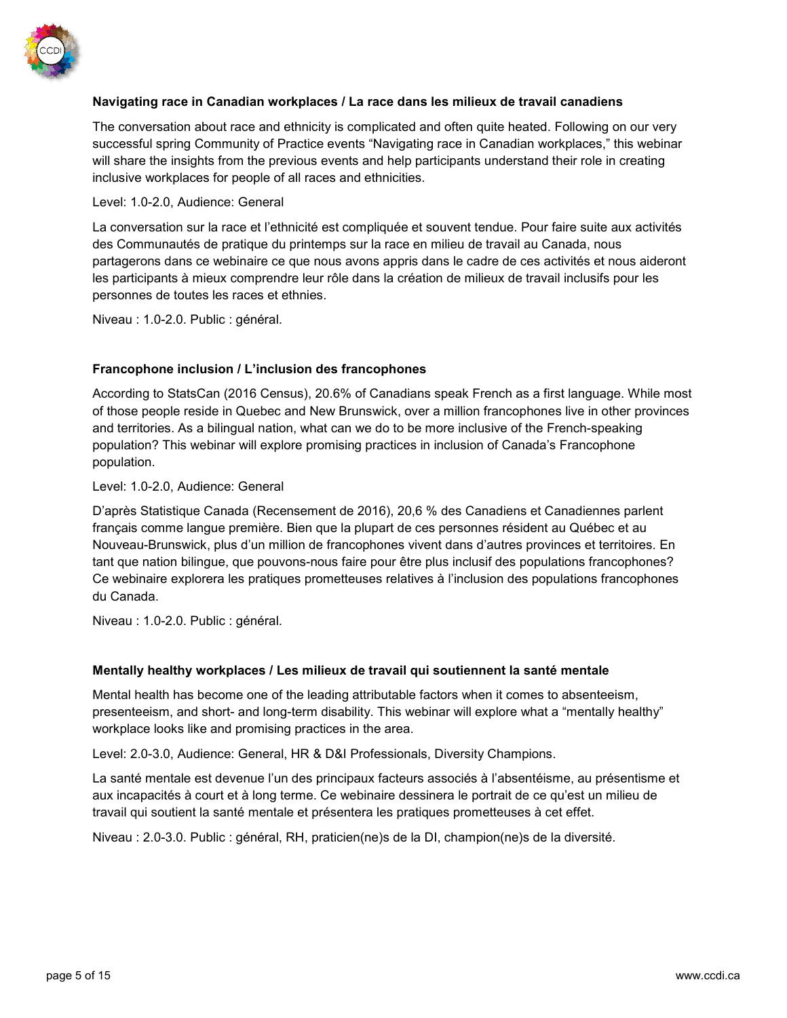

# **Navigating race in Canadian workplaces / La race dans les milieux de travail canadiens**

The conversation about race and ethnicity is complicated and often quite heated. Following on our very successful spring Community of Practice events "Navigating race in Canadian workplaces," this webinar will share the insights from the previous events and help participants understand their role in creating inclusive workplaces for people of all races and ethnicities.

#### Level: 1.0-2.0, Audience: General

La conversation sur la race et l'ethnicité est compliquée et souvent tendue. Pour faire suite aux activités des Communautés de pratique du printemps sur la race en milieu de travail au Canada, nous partagerons dans ce webinaire ce que nous avons appris dans le cadre de ces activités et nous aideront les participants à mieux comprendre leur rôle dans la création de milieux de travail inclusifs pour les personnes de toutes les races et ethnies.

Niveau : 1.0-2.0. Public : général.

### **Francophone inclusion / L'inclusion des francophones**

According to StatsCan (2016 Census), 20.6% of Canadians speak French as a first language. While most of those people reside in Quebec and New Brunswick, over a million francophones live in other provinces and territories. As a bilingual nation, what can we do to be more inclusive of the French-speaking population? This webinar will explore promising practices in inclusion of Canada's Francophone population.

#### Level: 1.0-2.0, Audience: General

D'après Statistique Canada (Recensement de 2016), 20,6 % des Canadiens et Canadiennes parlent français comme langue première. Bien que la plupart de ces personnes résident au Québec et au Nouveau-Brunswick, plus d'un million de francophones vivent dans d'autres provinces et territoires. En tant que nation bilingue, que pouvons-nous faire pour être plus inclusif des populations francophones? Ce webinaire explorera les pratiques prometteuses relatives à l'inclusion des populations francophones du Canada.

Niveau : 1.0-2.0. Public : général.

### **Mentally healthy workplaces / Les milieux de travail qui soutiennent la santé mentale**

Mental health has become one of the leading attributable factors when it comes to absenteeism, presenteeism, and short- and long-term disability. This webinar will explore what a "mentally healthy" workplace looks like and promising practices in the area.

Level: 2.0-3.0, Audience: General, HR & D&I Professionals, Diversity Champions.

La santé mentale est devenue l'un des principaux facteurs associés à l'absentéisme, au présentisme et aux incapacités à court et à long terme. Ce webinaire dessinera le portrait de ce qu'est un milieu de travail qui soutient la santé mentale et présentera les pratiques prometteuses à cet effet.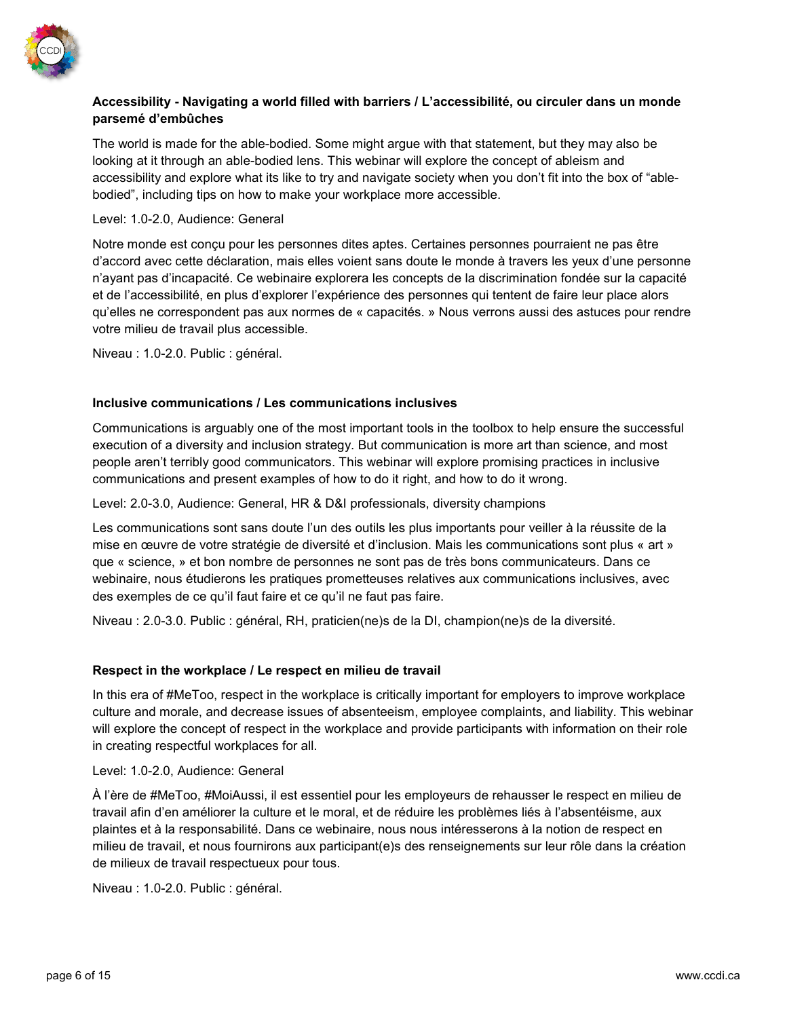

# **Accessibility - Navigating a world filled with barriers / L'accessibilité, ou circuler dans un monde parsemé d'embûches**

The world is made for the able-bodied. Some might argue with that statement, but they may also be looking at it through an able-bodied lens. This webinar will explore the concept of ableism and accessibility and explore what its like to try and navigate society when you don't fit into the box of "ablebodied", including tips on how to make your workplace more accessible.

### Level: 1.0-2.0, Audience: General

Notre monde est conçu pour les personnes dites aptes. Certaines personnes pourraient ne pas être d'accord avec cette déclaration, mais elles voient sans doute le monde à travers les yeux d'une personne n'ayant pas d'incapacité. Ce webinaire explorera les concepts de la discrimination fondée sur la capacité et de l'accessibilité, en plus d'explorer l'expérience des personnes qui tentent de faire leur place alors qu'elles ne correspondent pas aux normes de « capacités. » Nous verrons aussi des astuces pour rendre votre milieu de travail plus accessible.

Niveau : 1.0-2.0. Public : général.

# **Inclusive communications / Les communications inclusives**

Communications is arguably one of the most important tools in the toolbox to help ensure the successful execution of a diversity and inclusion strategy. But communication is more art than science, and most people aren't terribly good communicators. This webinar will explore promising practices in inclusive communications and present examples of how to do it right, and how to do it wrong.

Level: 2.0-3.0, Audience: General, HR & D&I professionals, diversity champions

Les communications sont sans doute l'un des outils les plus importants pour veiller à la réussite de la mise en œuvre de votre stratégie de diversité et d'inclusion. Mais les communications sont plus « art » que « science, » et bon nombre de personnes ne sont pas de très bons communicateurs. Dans ce webinaire, nous étudierons les pratiques prometteuses relatives aux communications inclusives, avec des exemples de ce qu'il faut faire et ce qu'il ne faut pas faire.

Niveau : 2.0-3.0. Public : général, RH, praticien(ne)s de la DI, champion(ne)s de la diversité.

### **Respect in the workplace / Le respect en milieu de travail**

In this era of #MeToo, respect in the workplace is critically important for employers to improve workplace culture and morale, and decrease issues of absenteeism, employee complaints, and liability. This webinar will explore the concept of respect in the workplace and provide participants with information on their role in creating respectful workplaces for all.

Level: 1.0-2.0, Audience: General

À l'ère de #MeToo, #MoiAussi, il est essentiel pour les employeurs de rehausser le respect en milieu de travail afin d'en améliorer la culture et le moral, et de réduire les problèmes liés à l'absentéisme, aux plaintes et à la responsabilité. Dans ce webinaire, nous nous intéresserons à la notion de respect en milieu de travail, et nous fournirons aux participant(e)s des renseignements sur leur rôle dans la création de milieux de travail respectueux pour tous.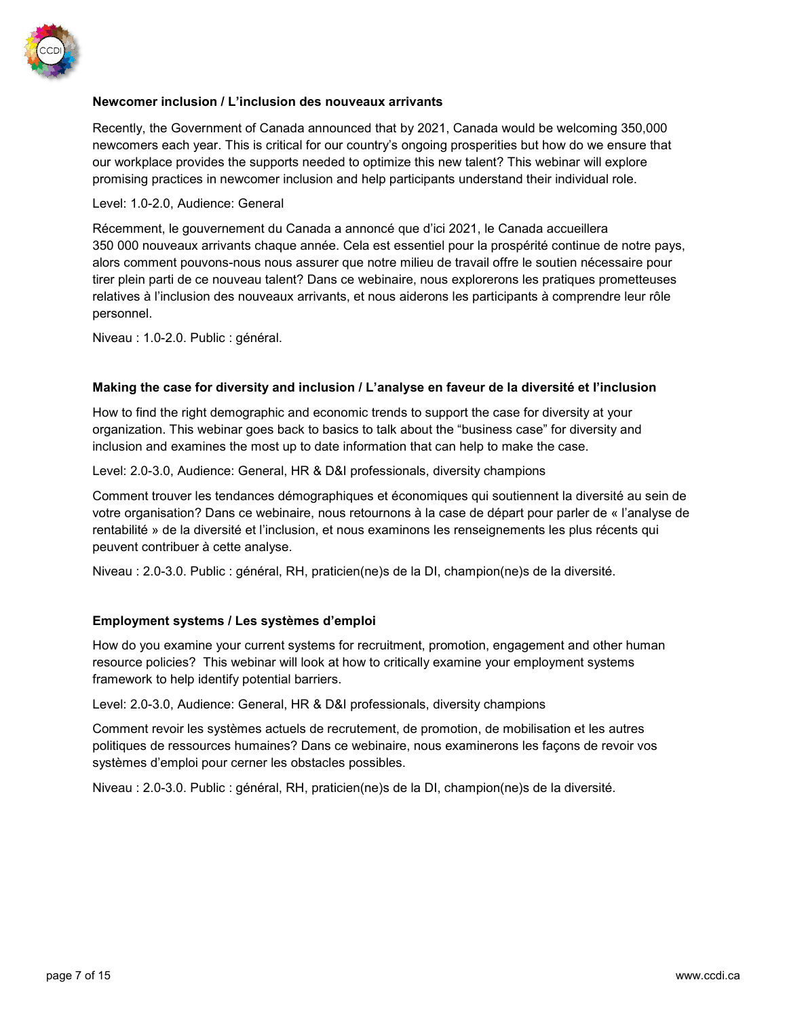

# **Newcomer inclusion / L'inclusion des nouveaux arrivants**

Recently, the Government of Canada announced that by 2021, Canada would be welcoming 350,000 newcomers each year. This is critical for our country's ongoing prosperities but how do we ensure that our workplace provides the supports needed to optimize this new talent? This webinar will explore promising practices in newcomer inclusion and help participants understand their individual role.

#### Level: 1.0-2.0, Audience: General

Récemment, le gouvernement du Canada a annoncé que d'ici 2021, le Canada accueillera 350 000 nouveaux arrivants chaque année. Cela est essentiel pour la prospérité continue de notre pays, alors comment pouvons-nous nous assurer que notre milieu de travail offre le soutien nécessaire pour tirer plein parti de ce nouveau talent? Dans ce webinaire, nous explorerons les pratiques prometteuses relatives à l'inclusion des nouveaux arrivants, et nous aiderons les participants à comprendre leur rôle personnel.

Niveau : 1.0-2.0. Public : général.

#### **Making the case for diversity and inclusion / L'analyse en faveur de la diversité et l'inclusion**

How to find the right demographic and economic trends to support the case for diversity at your organization. This webinar goes back to basics to talk about the "business case" for diversity and inclusion and examines the most up to date information that can help to make the case.

Level: 2.0-3.0, Audience: General, HR & D&I professionals, diversity champions

Comment trouver les tendances démographiques et économiques qui soutiennent la diversité au sein de votre organisation? Dans ce webinaire, nous retournons à la case de départ pour parler de « l'analyse de rentabilité » de la diversité et l'inclusion, et nous examinons les renseignements les plus récents qui peuvent contribuer à cette analyse.

Niveau : 2.0-3.0. Public : général, RH, praticien(ne)s de la DI, champion(ne)s de la diversité.

### **Employment systems / Les systèmes d'emploi**

How do you examine your current systems for recruitment, promotion, engagement and other human resource policies? This webinar will look at how to critically examine your employment systems framework to help identify potential barriers.

Level: 2.0-3.0, Audience: General, HR & D&I professionals, diversity champions

Comment revoir les systèmes actuels de recrutement, de promotion, de mobilisation et les autres politiques de ressources humaines? Dans ce webinaire, nous examinerons les façons de revoir vos systèmes d'emploi pour cerner les obstacles possibles.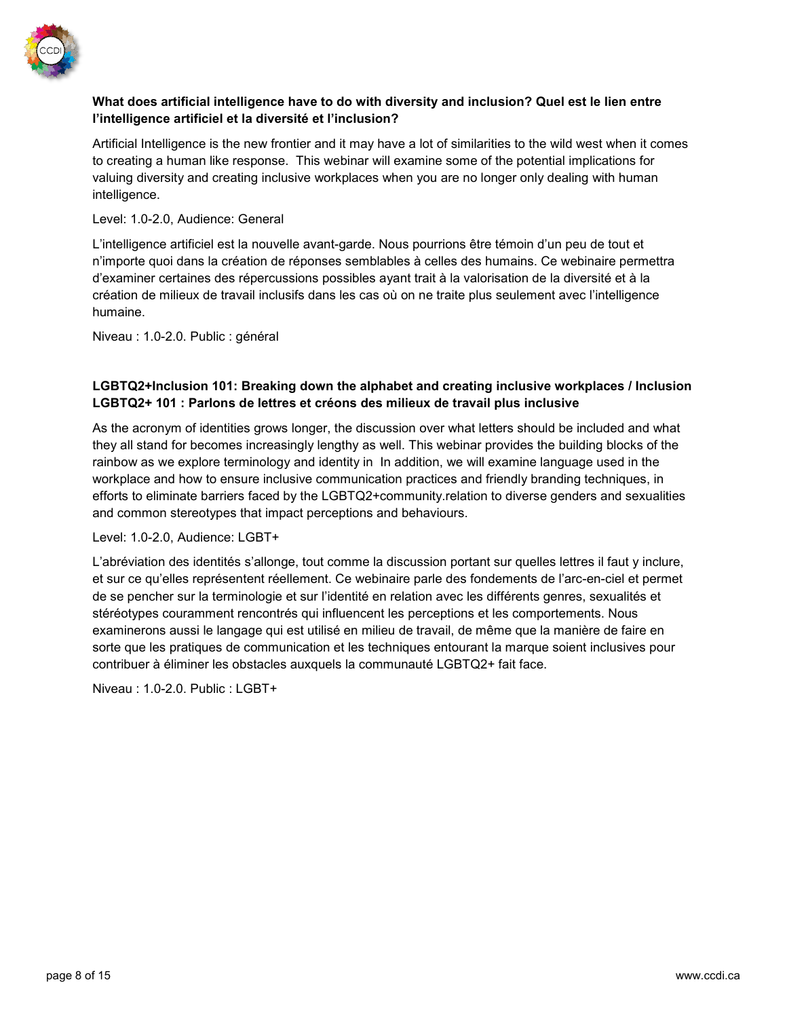

# **What does artificial intelligence have to do with diversity and inclusion? Quel est le lien entre l'intelligence artificiel et la diversité et l'inclusion?**

Artificial Intelligence is the new frontier and it may have a lot of similarities to the wild west when it comes to creating a human like response. This webinar will examine some of the potential implications for valuing diversity and creating inclusive workplaces when you are no longer only dealing with human intelligence.

Level: 1.0-2.0, Audience: General

L'intelligence artificiel est la nouvelle avant-garde. Nous pourrions être témoin d'un peu de tout et n'importe quoi dans la création de réponses semblables à celles des humains. Ce webinaire permettra d'examiner certaines des répercussions possibles ayant trait à la valorisation de la diversité et à la création de milieux de travail inclusifs dans les cas où on ne traite plus seulement avec l'intelligence humaine.

Niveau : 1.0-2.0. Public : général

# **LGBTQ2+Inclusion 101: Breaking down the alphabet and creating inclusive workplaces / Inclusion LGBTQ2+ 101 : Parlons de lettres et créons des milieux de travail plus inclusive**

As the acronym of identities grows longer, the discussion over what letters should be included and what they all stand for becomes increasingly lengthy as well. This webinar provides the building blocks of the rainbow as we explore terminology and identity in In addition, we will examine language used in the workplace and how to ensure inclusive communication practices and friendly branding techniques, in efforts to eliminate barriers faced by the LGBTQ2+community.relation to diverse genders and sexualities and common stereotypes that impact perceptions and behaviours.

Level: 1.0-2.0, Audience: LGBT+

L'abréviation des identités s'allonge, tout comme la discussion portant sur quelles lettres il faut y inclure, et sur ce qu'elles représentent réellement. Ce webinaire parle des fondements de l'arc-en-ciel et permet de se pencher sur la terminologie et sur l'identité en relation avec les différents genres, sexualités et stéréotypes couramment rencontrés qui influencent les perceptions et les comportements. Nous examinerons aussi le langage qui est utilisé en milieu de travail, de même que la manière de faire en sorte que les pratiques de communication et les techniques entourant la marque soient inclusives pour contribuer à éliminer les obstacles auxquels la communauté LGBTQ2+ fait face.

Niveau : 1.0-2.0. Public : LGBT+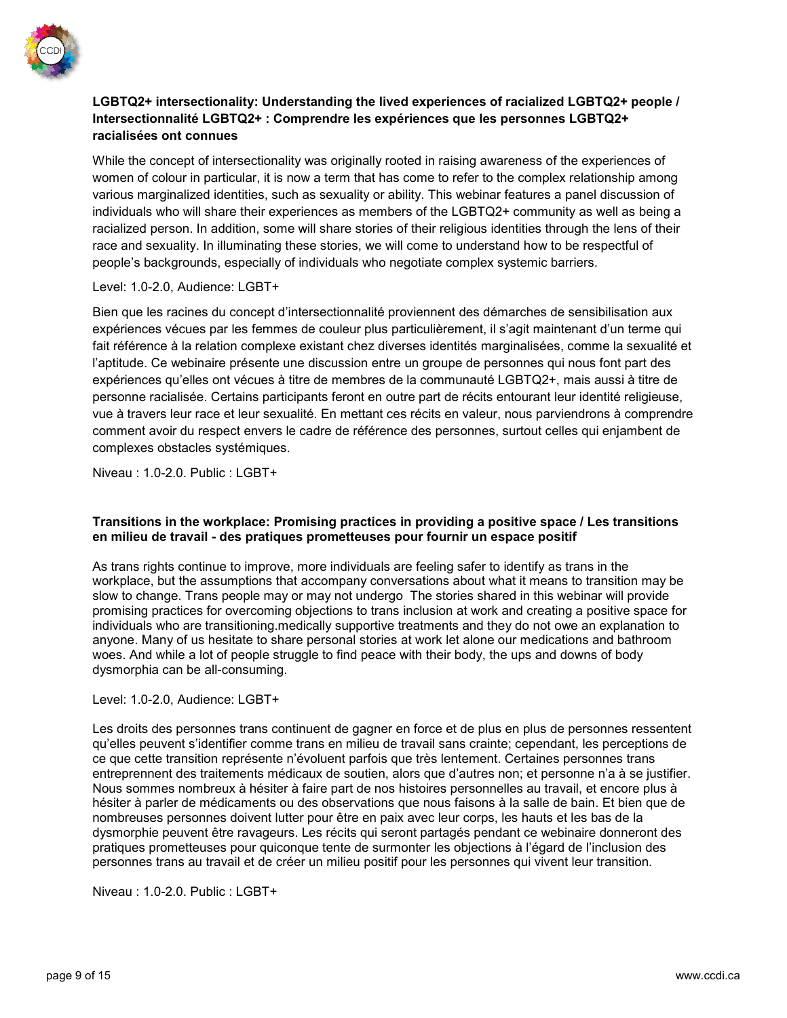

# **LGBTQ2+ intersectionality: Understanding the lived experiences of racialized LGBTQ2+ people / Intersectionnalité LGBTQ2+ : Comprendre les expériences que les personnes LGBTQ2+ racialisées ont connues**

While the concept of intersectionality was originally rooted in raising awareness of the experiences of women of colour in particular, it is now a term that has come to refer to the complex relationship among various marginalized identities, such as sexuality or ability. This webinar features a panel discussion of individuals who will share their experiences as members of the LGBTQ2+ community as well as being a racialized person. In addition, some will share stories of their religious identities through the lens of their race and sexuality. In illuminating these stories, we will come to understand how to be respectful of people's backgrounds, especially of individuals who negotiate complex systemic barriers.

# Level: 1.0-2.0, Audience: LGBT+

Bien que les racines du concept d'intersectionnalité proviennent des démarches de sensibilisation aux expériences vécues par les femmes de couleur plus particulièrement, il s'agit maintenant d'un terme qui fait référence à la relation complexe existant chez diverses identités marginalisées, comme la sexualité et l'aptitude. Ce webinaire présente une discussion entre un groupe de personnes qui nous font part des expériences qu'elles ont vécues à titre de membres de la communauté LGBTQ2+, mais aussi à titre de personne racialisée. Certains participants feront en outre part de récits entourant leur identité religieuse, vue à travers leur race et leur sexualité. En mettant ces récits en valeur, nous parviendrons à comprendre comment avoir du respect envers le cadre de référence des personnes, surtout celles qui enjambent de complexes obstacles systémiques.

Niveau : 1.0-2.0. Public : LGBT+

# **Transitions in the workplace: Promising practices in providing a positive space / Les transitions en milieu de travail - des pratiques prometteuses pour fournir un espace positif**

As trans rights continue to improve, more individuals are feeling safer to identify as trans in the workplace, but the assumptions that accompany conversations about what it means to transition may be slow to change. Trans people may or may not undergo The stories shared in this webinar will provide promising practices for overcoming objections to trans inclusion at work and creating a positive space for individuals who are transitioning.medically supportive treatments and they do not owe an explanation to anyone. Many of us hesitate to share personal stories at work let alone our medications and bathroom woes. And while a lot of people struggle to find peace with their body, the ups and downs of body dysmorphia can be all-consuming.

# Level: 1.0-2.0, Audience: LGBT+

Les droits des personnes trans continuent de gagner en force et de plus en plus de personnes ressentent qu'elles peuvent s'identifier comme trans en milieu de travail sans crainte; cependant, les perceptions de ce que cette transition représente n'évoluent parfois que très lentement. Certaines personnes trans entreprennent des traitements médicaux de soutien, alors que d'autres non; et personne n'a à se justifier. Nous sommes nombreux à hésiter à faire part de nos histoires personnelles au travail, et encore plus à hésiter à parler de médicaments ou des observations que nous faisons à la salle de bain. Et bien que de nombreuses personnes doivent lutter pour être en paix avec leur corps, les hauts et les bas de la dysmorphie peuvent être ravageurs. Les récits qui seront partagés pendant ce webinaire donneront des pratiques prometteuses pour quiconque tente de surmonter les objections à l'égard de l'inclusion des personnes trans au travail et de créer un milieu positif pour les personnes qui vivent leur transition.

Niveau : 1.0-2.0. Public : LGBT+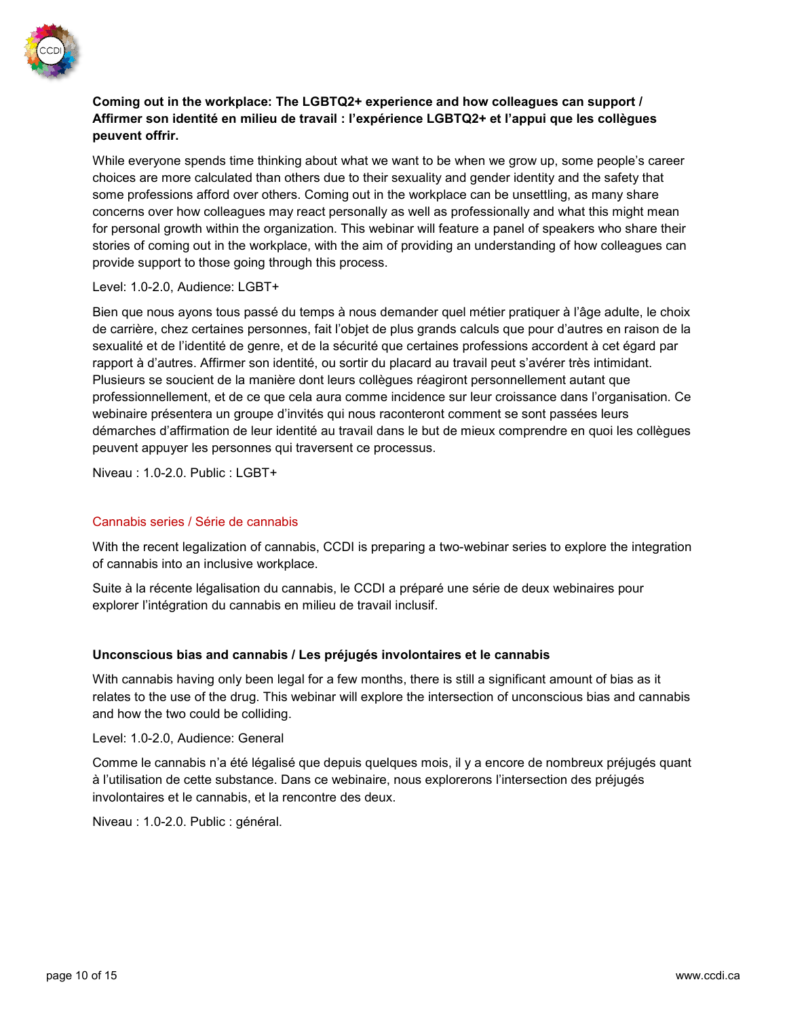

# **Coming out in the workplace: The LGBTQ2+ experience and how colleagues can support / Affirmer son identité en milieu de travail : l'expérience LGBTQ2+ et l'appui que les collègues peuvent offrir.**

While everyone spends time thinking about what we want to be when we grow up, some people's career choices are more calculated than others due to their sexuality and gender identity and the safety that some professions afford over others. Coming out in the workplace can be unsettling, as many share concerns over how colleagues may react personally as well as professionally and what this might mean for personal growth within the organization. This webinar will feature a panel of speakers who share their stories of coming out in the workplace, with the aim of providing an understanding of how colleagues can provide support to those going through this process.

### Level: 1.0-2.0, Audience: LGBT+

Bien que nous ayons tous passé du temps à nous demander quel métier pratiquer à l'âge adulte, le choix de carrière, chez certaines personnes, fait l'objet de plus grands calculs que pour d'autres en raison de la sexualité et de l'identité de genre, et de la sécurité que certaines professions accordent à cet égard par rapport à d'autres. Affirmer son identité, ou sortir du placard au travail peut s'avérer très intimidant. Plusieurs se soucient de la manière dont leurs collègues réagiront personnellement autant que professionnellement, et de ce que cela aura comme incidence sur leur croissance dans l'organisation. Ce webinaire présentera un groupe d'invités qui nous raconteront comment se sont passées leurs démarches d'affirmation de leur identité au travail dans le but de mieux comprendre en quoi les collègues peuvent appuyer les personnes qui traversent ce processus.

Niveau : 1.0-2.0. Public : LGBT+

# Cannabis series / Série de cannabis

With the recent legalization of cannabis, CCDI is preparing a two-webinar series to explore the integration of cannabis into an inclusive workplace.

Suite à la récente légalisation du cannabis, le CCDI a préparé une série de deux webinaires pour explorer l'intégration du cannabis en milieu de travail inclusif.

### **Unconscious bias and cannabis / Les préjugés involontaires et le cannabis**

With cannabis having only been legal for a few months, there is still a significant amount of bias as it relates to the use of the drug. This webinar will explore the intersection of unconscious bias and cannabis and how the two could be colliding.

Level: 1.0-2.0, Audience: General

Comme le cannabis n'a été légalisé que depuis quelques mois, il y a encore de nombreux préjugés quant à l'utilisation de cette substance. Dans ce webinaire, nous explorerons l'intersection des préjugés involontaires et le cannabis, et la rencontre des deux.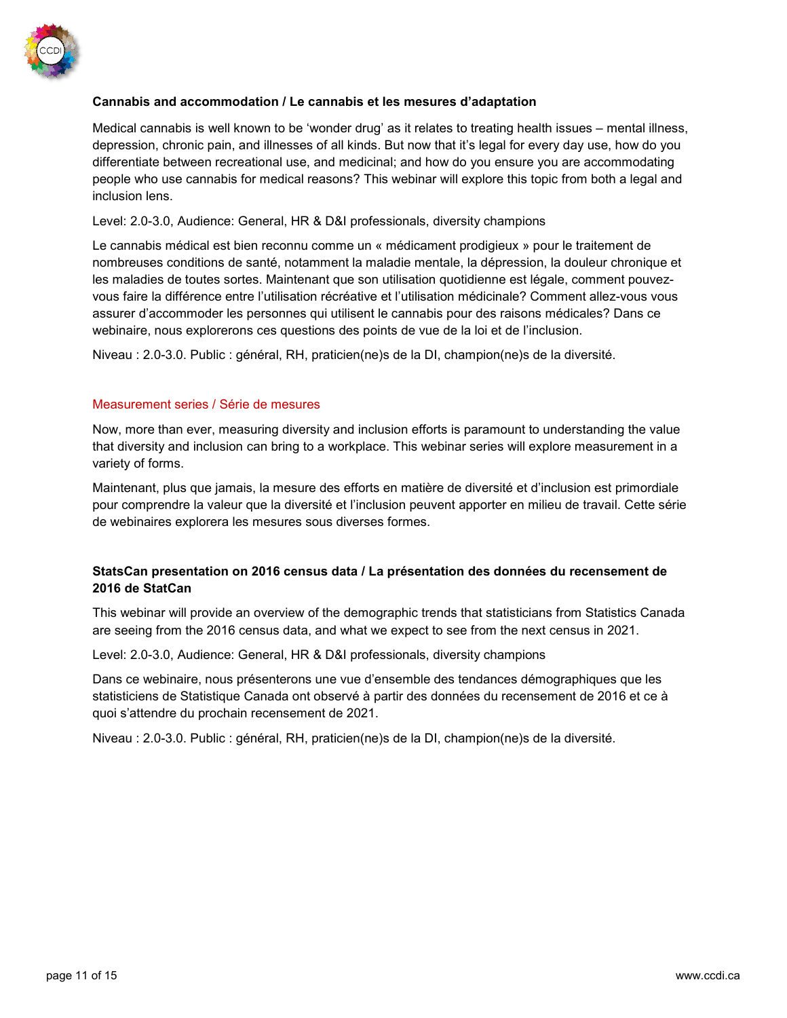

# **Cannabis and accommodation / Le cannabis et les mesures d'adaptation**

Medical cannabis is well known to be 'wonder drug' as it relates to treating health issues – mental illness, depression, chronic pain, and illnesses of all kinds. But now that it's legal for every day use, how do you differentiate between recreational use, and medicinal; and how do you ensure you are accommodating people who use cannabis for medical reasons? This webinar will explore this topic from both a legal and inclusion lens.

Level: 2.0-3.0, Audience: General, HR & D&I professionals, diversity champions

Le cannabis médical est bien reconnu comme un « médicament prodigieux » pour le traitement de nombreuses conditions de santé, notamment la maladie mentale, la dépression, la douleur chronique et les maladies de toutes sortes. Maintenant que son utilisation quotidienne est légale, comment pouvezvous faire la différence entre l'utilisation récréative et l'utilisation médicinale? Comment allez-vous vous assurer d'accommoder les personnes qui utilisent le cannabis pour des raisons médicales? Dans ce webinaire, nous explorerons ces questions des points de vue de la loi et de l'inclusion.

Niveau : 2.0-3.0. Public : général, RH, praticien(ne)s de la DI, champion(ne)s de la diversité.

### Measurement series / Série de mesures

Now, more than ever, measuring diversity and inclusion efforts is paramount to understanding the value that diversity and inclusion can bring to a workplace. This webinar series will explore measurement in a variety of forms.

Maintenant, plus que jamais, la mesure des efforts en matière de diversité et d'inclusion est primordiale pour comprendre la valeur que la diversité et l'inclusion peuvent apporter en milieu de travail. Cette série de webinaires explorera les mesures sous diverses formes.

# **StatsCan presentation on 2016 census data / La présentation des données du recensement de 2016 de StatCan**

This webinar will provide an overview of the demographic trends that statisticians from Statistics Canada are seeing from the 2016 census data, and what we expect to see from the next census in 2021.

Level: 2.0-3.0, Audience: General, HR & D&I professionals, diversity champions

Dans ce webinaire, nous présenterons une vue d'ensemble des tendances démographiques que les statisticiens de Statistique Canada ont observé à partir des données du recensement de 2016 et ce à quoi s'attendre du prochain recensement de 2021.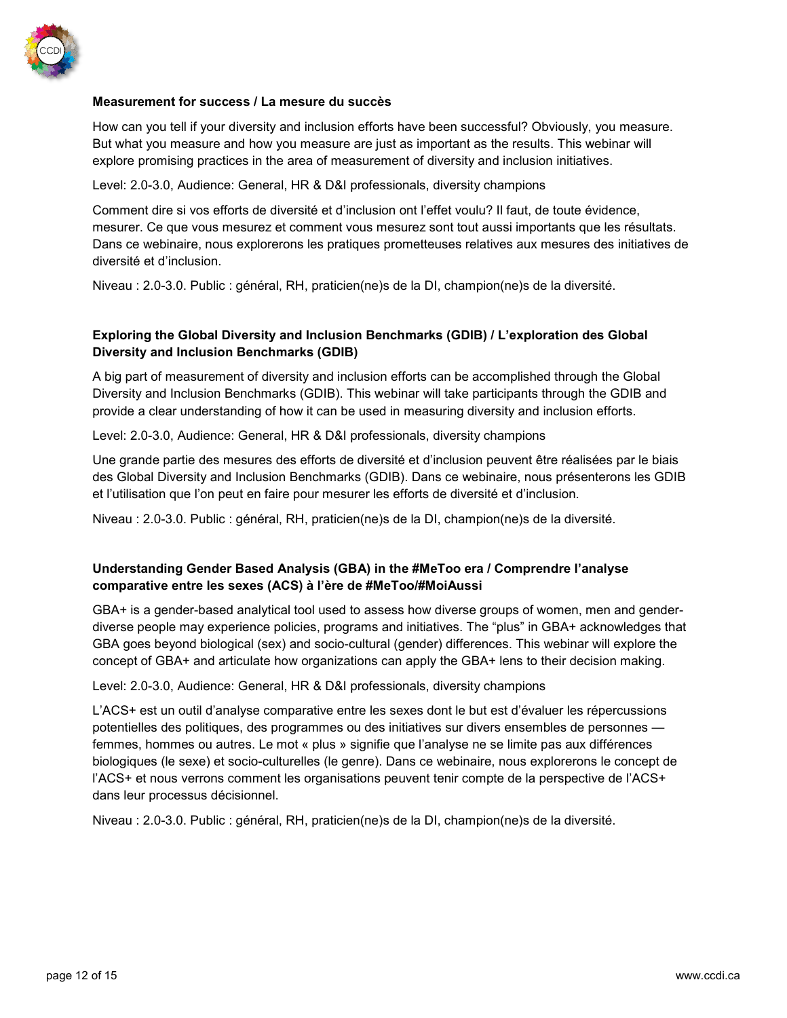

# **Measurement for success / La mesure du succès**

How can you tell if your diversity and inclusion efforts have been successful? Obviously, you measure. But what you measure and how you measure are just as important as the results. This webinar will explore promising practices in the area of measurement of diversity and inclusion initiatives.

Level: 2.0-3.0, Audience: General, HR & D&I professionals, diversity champions

Comment dire si vos efforts de diversité et d'inclusion ont l'effet voulu? Il faut, de toute évidence, mesurer. Ce que vous mesurez et comment vous mesurez sont tout aussi importants que les résultats. Dans ce webinaire, nous explorerons les pratiques prometteuses relatives aux mesures des initiatives de diversité et d'inclusion.

Niveau : 2.0-3.0. Public : général, RH, praticien(ne)s de la DI, champion(ne)s de la diversité.

# **Exploring the Global Diversity and Inclusion Benchmarks (GDIB) / L'exploration des Global Diversity and Inclusion Benchmarks (GDIB)**

A big part of measurement of diversity and inclusion efforts can be accomplished through the Global Diversity and Inclusion Benchmarks (GDIB). This webinar will take participants through the GDIB and provide a clear understanding of how it can be used in measuring diversity and inclusion efforts.

Level: 2.0-3.0, Audience: General, HR & D&I professionals, diversity champions

Une grande partie des mesures des efforts de diversité et d'inclusion peuvent être réalisées par le biais des Global Diversity and Inclusion Benchmarks (GDIB). Dans ce webinaire, nous présenterons les GDIB et l'utilisation que l'on peut en faire pour mesurer les efforts de diversité et d'inclusion.

Niveau : 2.0-3.0. Public : général, RH, praticien(ne)s de la DI, champion(ne)s de la diversité.

# **Understanding Gender Based Analysis (GBA) in the #MeToo era / Comprendre l'analyse comparative entre les sexes (ACS) à l'ère de #MeToo/#MoiAussi**

GBA+ is a gender-based analytical tool used to assess how diverse groups of women, men and genderdiverse people may experience policies, programs and initiatives. The "plus" in GBA+ acknowledges that GBA goes beyond biological (sex) and socio-cultural (gender) differences. This webinar will explore the concept of GBA+ and articulate how organizations can apply the GBA+ lens to their decision making.

Level: 2.0-3.0, Audience: General, HR & D&I professionals, diversity champions

L'ACS+ est un outil d'analyse comparative entre les sexes dont le but est d'évaluer les répercussions potentielles des politiques, des programmes ou des initiatives sur divers ensembles de personnes femmes, hommes ou autres. Le mot « plus » signifie que l'analyse ne se limite pas aux différences biologiques (le sexe) et socio-culturelles (le genre). Dans ce webinaire, nous explorerons le concept de l'ACS+ et nous verrons comment les organisations peuvent tenir compte de la perspective de l'ACS+ dans leur processus décisionnel.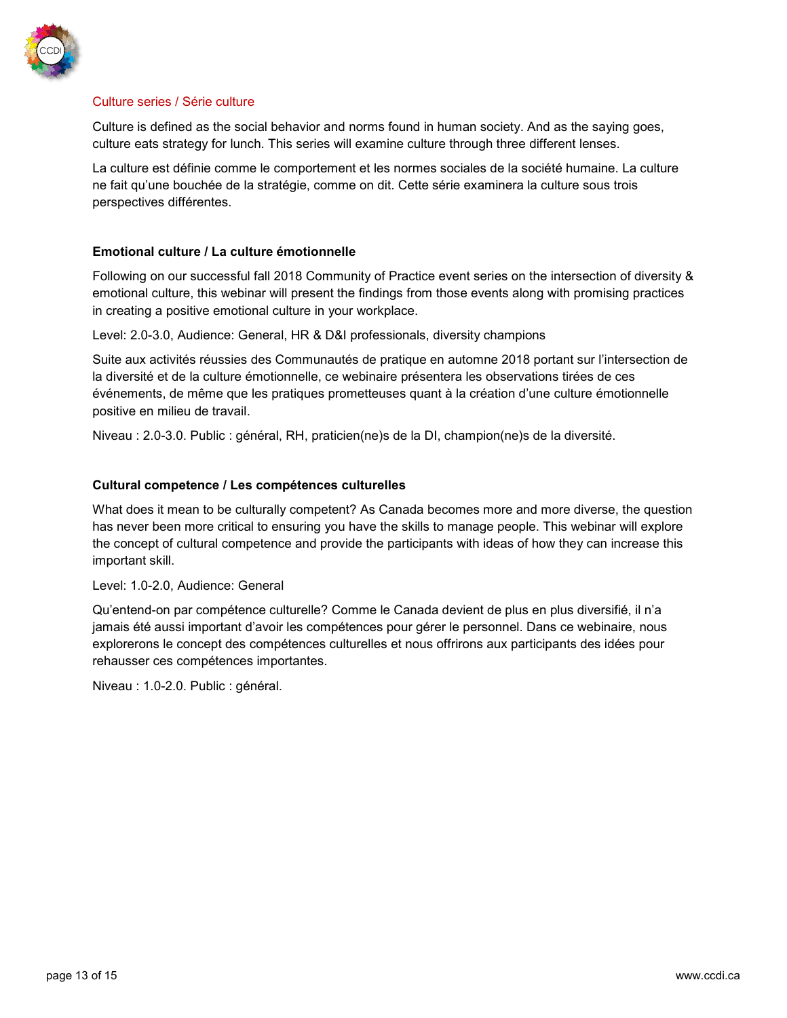

## Culture series / Série culture

Culture is defined as the social behavior and norms found in human society. And as the saying goes, culture eats strategy for lunch. This series will examine culture through three different lenses.

La culture est définie comme le comportement et les normes sociales de la société humaine. La culture ne fait qu'une bouchée de la stratégie, comme on dit. Cette série examinera la culture sous trois perspectives différentes.

# **Emotional culture / La culture émotionnelle**

Following on our successful fall 2018 Community of Practice event series on the intersection of diversity & emotional culture, this webinar will present the findings from those events along with promising practices in creating a positive emotional culture in your workplace.

Level: 2.0-3.0, Audience: General, HR & D&I professionals, diversity champions

Suite aux activités réussies des Communautés de pratique en automne 2018 portant sur l'intersection de la diversité et de la culture émotionnelle, ce webinaire présentera les observations tirées de ces événements, de même que les pratiques prometteuses quant à la création d'une culture émotionnelle positive en milieu de travail.

Niveau : 2.0-3.0. Public : général, RH, praticien(ne)s de la DI, champion(ne)s de la diversité.

# **Cultural competence / Les compétences culturelles**

What does it mean to be culturally competent? As Canada becomes more and more diverse, the question has never been more critical to ensuring you have the skills to manage people. This webinar will explore the concept of cultural competence and provide the participants with ideas of how they can increase this important skill.

### Level: 1.0-2.0, Audience: General

Qu'entend-on par compétence culturelle? Comme le Canada devient de plus en plus diversifié, il n'a jamais été aussi important d'avoir les compétences pour gérer le personnel. Dans ce webinaire, nous explorerons le concept des compétences culturelles et nous offrirons aux participants des idées pour rehausser ces compétences importantes.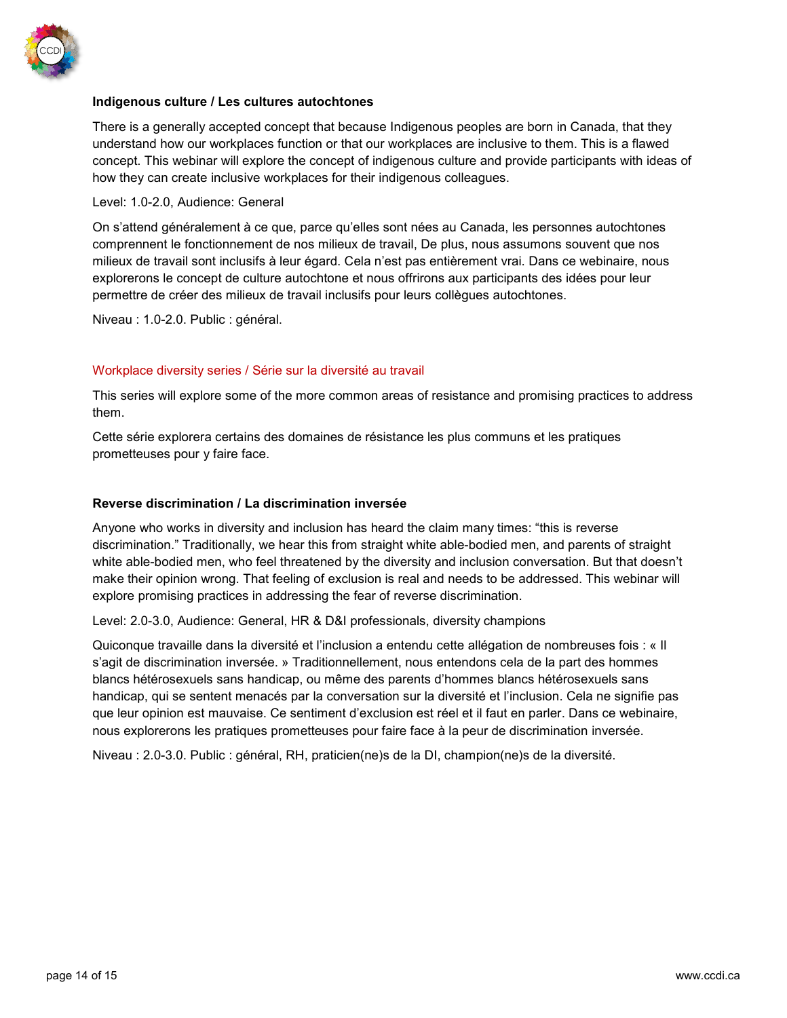

## **Indigenous culture / Les cultures autochtones**

There is a generally accepted concept that because Indigenous peoples are born in Canada, that they understand how our workplaces function or that our workplaces are inclusive to them. This is a flawed concept. This webinar will explore the concept of indigenous culture and provide participants with ideas of how they can create inclusive workplaces for their indigenous colleagues.

### Level: 1.0-2.0, Audience: General

On s'attend généralement à ce que, parce qu'elles sont nées au Canada, les personnes autochtones comprennent le fonctionnement de nos milieux de travail, De plus, nous assumons souvent que nos milieux de travail sont inclusifs à leur égard. Cela n'est pas entièrement vrai. Dans ce webinaire, nous explorerons le concept de culture autochtone et nous offrirons aux participants des idées pour leur permettre de créer des milieux de travail inclusifs pour leurs collègues autochtones.

Niveau : 1.0-2.0. Public : général.

# Workplace diversity series / Série sur la diversité au travail

This series will explore some of the more common areas of resistance and promising practices to address them.

Cette série explorera certains des domaines de résistance les plus communs et les pratiques prometteuses pour y faire face.

### **Reverse discrimination / La discrimination inversée**

Anyone who works in diversity and inclusion has heard the claim many times: "this is reverse discrimination." Traditionally, we hear this from straight white able-bodied men, and parents of straight white able-bodied men, who feel threatened by the diversity and inclusion conversation. But that doesn't make their opinion wrong. That feeling of exclusion is real and needs to be addressed. This webinar will explore promising practices in addressing the fear of reverse discrimination.

Level: 2.0-3.0, Audience: General, HR & D&I professionals, diversity champions

Quiconque travaille dans la diversité et l'inclusion a entendu cette allégation de nombreuses fois : « Il s'agit de discrimination inversée. » Traditionnellement, nous entendons cela de la part des hommes blancs hétérosexuels sans handicap, ou même des parents d'hommes blancs hétérosexuels sans handicap, qui se sentent menacés par la conversation sur la diversité et l'inclusion. Cela ne signifie pas que leur opinion est mauvaise. Ce sentiment d'exclusion est réel et il faut en parler. Dans ce webinaire, nous explorerons les pratiques prometteuses pour faire face à la peur de discrimination inversée.